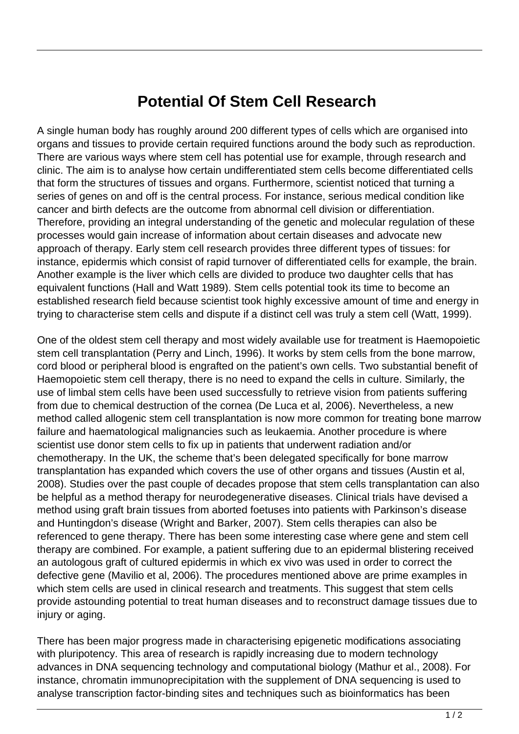## **Potential Of Stem Cell Research**

A single human body has roughly around 200 different types of cells which are organised into organs and tissues to provide certain required functions around the body such as reproduction. There are various ways where stem cell has potential use for example, through research and clinic. The aim is to analyse how certain undifferentiated stem cells become differentiated cells that form the structures of tissues and organs. Furthermore, scientist noticed that turning a series of genes on and off is the central process. For instance, serious medical condition like cancer and birth defects are the outcome from abnormal cell division or differentiation. Therefore, providing an integral understanding of the genetic and molecular regulation of these processes would gain increase of information about certain diseases and advocate new approach of therapy. Early stem cell research provides three different types of tissues: for instance, epidermis which consist of rapid turnover of differentiated cells for example, the brain. Another example is the liver which cells are divided to produce two daughter cells that has equivalent functions (Hall and Watt 1989). Stem cells potential took its time to become an established research field because scientist took highly excessive amount of time and energy in trying to characterise stem cells and dispute if a distinct cell was truly a stem cell (Watt, 1999).

One of the oldest stem cell therapy and most widely available use for treatment is Haemopoietic stem cell transplantation (Perry and Linch, 1996). It works by stem cells from the bone marrow, cord blood or peripheral blood is engrafted on the patient's own cells. Two substantial benefit of Haemopoietic stem cell therapy, there is no need to expand the cells in culture. Similarly, the use of limbal stem cells have been used successfully to retrieve vision from patients suffering from due to chemical destruction of the cornea (De Luca et al, 2006). Nevertheless, a new method called allogenic stem cell transplantation is now more common for treating bone marrow failure and haematological malignancies such as leukaemia. Another procedure is where scientist use donor stem cells to fix up in patients that underwent radiation and/or chemotherapy. In the UK, the scheme that's been delegated specifically for bone marrow transplantation has expanded which covers the use of other organs and tissues (Austin et al, 2008). Studies over the past couple of decades propose that stem cells transplantation can also be helpful as a method therapy for neurodegenerative diseases. Clinical trials have devised a method using graft brain tissues from aborted foetuses into patients with Parkinson's disease and Huntingdon's disease (Wright and Barker, 2007). Stem cells therapies can also be referenced to gene therapy. There has been some interesting case where gene and stem cell therapy are combined. For example, a patient suffering due to an epidermal blistering received an autologous graft of cultured epidermis in which ex vivo was used in order to correct the defective gene (Mavilio et al, 2006). The procedures mentioned above are prime examples in which stem cells are used in clinical research and treatments. This suggest that stem cells provide astounding potential to treat human diseases and to reconstruct damage tissues due to injury or aging.

There has been major progress made in characterising epigenetic modifications associating with pluripotency. This area of research is rapidly increasing due to modern technology advances in DNA sequencing technology and computational biology (Mathur et al., 2008). For instance, chromatin immunoprecipitation with the supplement of DNA sequencing is used to analyse transcription factor-binding sites and techniques such as bioinformatics has been